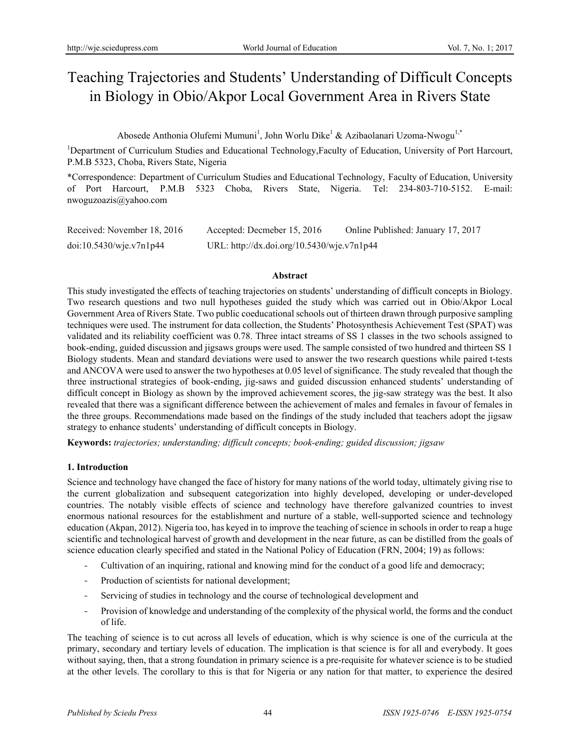# Teaching Trajectories and Students' Understanding of Difficult Concepts in Biology in Obio/Akpor Local Government Area in Rivers State

Abosede Anthonia Olufemi Mumuni<sup>1</sup>, John Worlu Dike<sup>1</sup> & Azibaolanari Uzoma-Nwogu<sup>1,\*</sup>

<sup>1</sup>Department of Curriculum Studies and Educational Technology, Faculty of Education, University of Port Harcourt, P.M.B 5323, Choba, Rivers State, Nigeria

\*Correspondence: Department of Curriculum Studies and Educational Technology, Faculty of Education, University of Port Harcourt, P.M.B 5323 Choba, Rivers State, Nigeria. Tel: 234-803-710-5152. E-mail: nwoguzoazis@yahoo.com

| Received: November 18, 2016 | Accepted: Decmeber 15, 2016                | Online Published: January 17, 2017 |
|-----------------------------|--------------------------------------------|------------------------------------|
| doi:10.5430/wje.v7n1p44     | URL: http://dx.doi.org/10.5430/wje.v7n1p44 |                                    |

#### **Abstract**

This study investigated the effects of teaching trajectories on students' understanding of difficult concepts in Biology. Two research questions and two null hypotheses guided the study which was carried out in Obio/Akpor Local Government Area of Rivers State. Two public coeducational schools out of thirteen drawn through purposive sampling techniques were used. The instrument for data collection, the Students' Photosynthesis Achievement Test (SPAT) was validated and its reliability coefficient was 0.78. Three intact streams of SS 1 classes in the two schools assigned to book-ending, guided discussion and jigsaws groups were used. The sample consisted of two hundred and thirteen SS 1 Biology students. Mean and standard deviations were used to answer the two research questions while paired t-tests and ANCOVA were used to answer the two hypotheses at 0.05 level of significance. The study revealed that though the three instructional strategies of book-ending, jig-saws and guided discussion enhanced students' understanding of difficult concept in Biology as shown by the improved achievement scores, the jig-saw strategy was the best. It also revealed that there was a significant difference between the achievement of males and females in favour of females in the three groups. Recommendations made based on the findings of the study included that teachers adopt the jigsaw strategy to enhance students' understanding of difficult concepts in Biology.

**Keywords:** *trajectories; understanding; difficult concepts; book-ending; guided discussion; jigsaw*

## **1. Introduction**

Science and technology have changed the face of history for many nations of the world today, ultimately giving rise to the current globalization and subsequent categorization into highly developed, developing or under-developed countries. The notably visible effects of science and technology have therefore galvanized countries to invest enormous national resources for the establishment and nurture of a stable, well-supported science and technology education (Akpan, 2012). Nigeria too, has keyed in to improve the teaching of science in schools in order to reap a huge scientific and technological harvest of growth and development in the near future, as can be distilled from the goals of science education clearly specified and stated in the National Policy of Education (FRN, 2004; 19) as follows:

- Cultivation of an inquiring, rational and knowing mind for the conduct of a good life and democracy;
- Production of scientists for national development;
- Servicing of studies in technology and the course of technological development and
- Provision of knowledge and understanding of the complexity of the physical world, the forms and the conduct of life.

The teaching of science is to cut across all levels of education, which is why science is one of the curricula at the primary, secondary and tertiary levels of education. The implication is that science is for all and everybody. It goes without saying, then, that a strong foundation in primary science is a pre-requisite for whatever science is to be studied at the other levels. The corollary to this is that for Nigeria or any nation for that matter, to experience the desired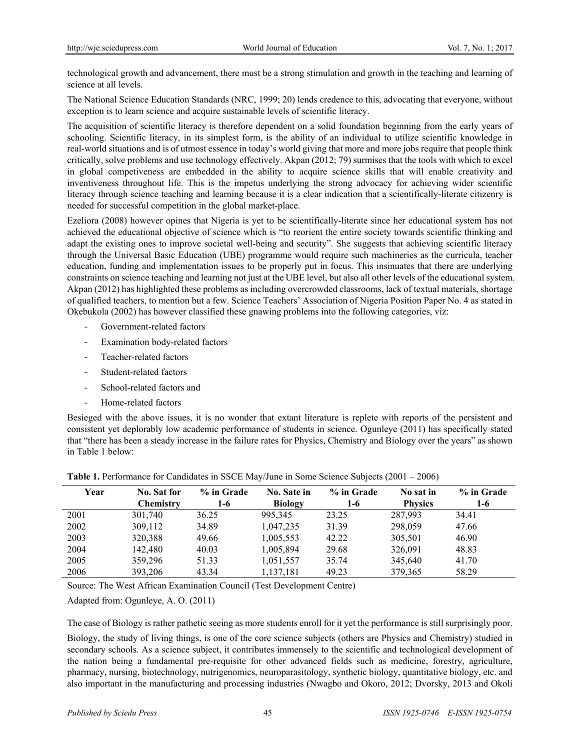technological growth and advancement, there must be a strong stimulation and growth in the teaching and learning of science at all levels.

The National Science Education Standards (NRC, 1999; 20) lends credence to this, advocating that everyone, without exception is to learn science and acquire sustainable levels of scientific literacy.

The acquisition of scientific literacy is therefore dependent on a solid foundation beginning from the early years of schooling. Scientific literacy, in its simplest form, is the ability of an individual to utilize scientific knowledge in real-world situations and is of utmost essence in today's world giving that more and more jobs require that people think critically, solve problems and use technology effectively. Akpan (2012; 79) surmises that the tools with which to excel in global competiveness are embedded in the ability to acquire science skills that will enable creativity and inventiveness throughout life. This is the impetus underlying the strong advocacy for achieving wider scientific literacy through science teaching and learning because it is a clear indication that a scientifically-literate citizenry is needed for successful competition in the global market-place.

Ezeliora (2008) however opines that Nigeria is yet to be scientifically-literate since her educational system has not achieved the educational objective of science which is "to reorient the entire society towards scientific thinking and adapt the existing ones to improve societal well-being and security". She suggests that achieving scientific literacy through the Universal Basic Education (UBE) programme would require such machineries as the curricula, teacher education, funding and implementation issues to be properly put in focus. This insinuates that there are underlying constraints on science teaching and learning not just at the UBE level, but also all other levels of the educational system. Akpan (2012) has highlighted these problems as including overcrowded classrooms, lack of textual materials, shortage of qualified teachers, to mention but a few. Science Teachers' Association of Nigeria Position Paper No. 4 as stated in Okebukola (2002) has however classified these gnawing problems into the following categories, viz:

- Government-related factors
- Examination body-related factors
- Teacher-related factors
- Student-related factors
- School-related factors and
- Home-related factors

Besieged with the above issues, it is no wonder that extant literature is replete with reports of the persistent and consistent yet deplorably low academic performance of students in science. Ogunleye (2011) has specifically stated that "there has been a steady increase in the failure rates for Physics, Chemistry and Biology over the years" as shown in Table 1 below:

| Year | No. Sat for      | % in Grade | <b>No. Sate in</b> | % in Grade | No sat in      | % in Grade |
|------|------------------|------------|--------------------|------------|----------------|------------|
|      | <b>Chemistry</b> | 1-6        | <b>Biology</b>     | $1-6$      | <b>Physics</b> | 1-6        |
| 2001 | 301,740          | 36.25      | 995.345            | 23.25      | 287,993        | 34.41      |
| 2002 | 309,112          | 34.89      | 1,047,235          | 31.39      | 298,059        | 47.66      |
| 2003 | 320,388          | 49.66      | 1,005,553          | 42.22      | 305,501        | 46.90      |
| 2004 | 142,480          | 40.03      | 1,005,894          | 29.68      | 326,091        | 48.83      |
| 2005 | 359,296          | 51.33      | 1,051,557          | 35.74      | 345,640        | 41.70      |
| 2006 | 393,206          | 43.34      | 1,137,181          | 49.23      | 379,365        | 58.29      |

**Table 1.** Performance for Candidates in SSCE May/June in Some Science Subjects (2001 – 2006)

Source: The West African Examination Council (Test Development Centre)

Adapted from: Ogunleye, A. O. (2011)

The case of Biology is rather pathetic seeing as more students enroll for it yet the performance is still surprisingly poor.

Biology, the study of living things, is one of the core science subjects (others are Physics and Chemistry) studied in secondary schools. As a science subject, it contributes immensely to the scientific and technological development of the nation being a fundamental pre-requisite for other advanced fields such as medicine, forestry, agriculture, pharmacy, nursing, biotechnology, nutrigenomics, neuroparasitology, synthetic biology, quantitative biology, etc. and also important in the manufacturing and processing industries (Nwagbo and Okoro, 2012; Dvorsky, 2013 and Okoli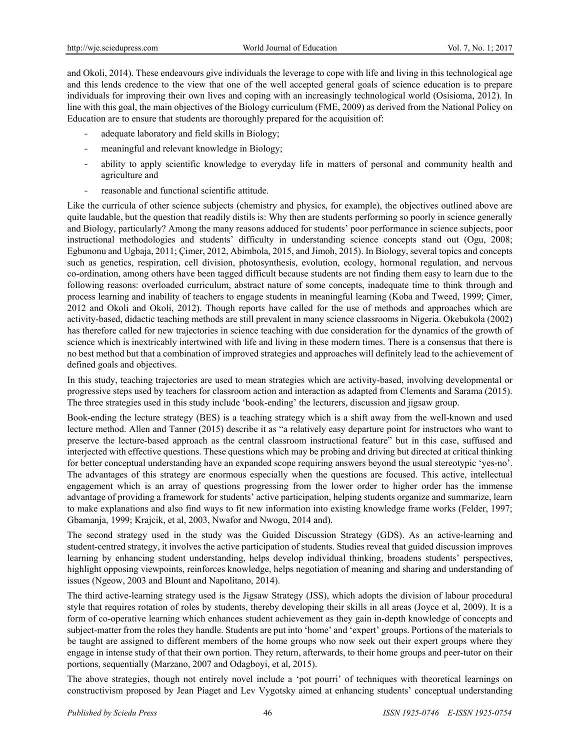and Okoli, 2014). These endeavours give individuals the leverage to cope with life and living in this technological age and this lends credence to the view that one of the well accepted general goals of science education is to prepare individuals for improving their own lives and coping with an increasingly technological world (Osisioma, 2012). In line with this goal, the main objectives of the Biology curriculum (FME, 2009) as derived from the National Policy on Education are to ensure that students are thoroughly prepared for the acquisition of:

- adequate laboratory and field skills in Biology;
- meaningful and relevant knowledge in Biology;
- ability to apply scientific knowledge to everyday life in matters of personal and community health and agriculture and
- reasonable and functional scientific attitude.

Like the curricula of other science subjects (chemistry and physics, for example), the objectives outlined above are quite laudable, but the question that readily distils is: Why then are students performing so poorly in science generally and Biology, particularly? Among the many reasons adduced for students' poor performance in science subjects, poor instructional methodologies and students' difficulty in understanding science concepts stand out (Ogu, 2008; Egbunonu and Ugbaja, 2011; Çimer, 2012, Abimbola, 2015, and Jimoh, 2015). In Biology, several topics and concepts such as genetics, respiration, cell division, photosynthesis, evolution, ecology, hormonal regulation, and nervous co-ordination, among others have been tagged difficult because students are not finding them easy to learn due to the following reasons: overloaded curriculum, abstract nature of some concepts, inadequate time to think through and process learning and inability of teachers to engage students in meaningful learning (Koba and Tweed, 1999; Çimer, 2012 and Okoli and Okoli, 2012). Though reports have called for the use of methods and approaches which are activity-based, didactic teaching methods are still prevalent in many science classrooms in Nigeria. Okebukola (2002) has therefore called for new trajectories in science teaching with due consideration for the dynamics of the growth of science which is inextricably intertwined with life and living in these modern times. There is a consensus that there is no best method but that a combination of improved strategies and approaches will definitely lead to the achievement of defined goals and objectives.

In this study, teaching trajectories are used to mean strategies which are activity-based, involving developmental or progressive steps used by teachers for classroom action and interaction as adapted from Clements and Sarama (2015). The three strategies used in this study include 'book-ending' the lecturers, discussion and jigsaw group.

Book-ending the lecture strategy (BES) is a teaching strategy which is a shift away from the well-known and used lecture method. Allen and Tanner (2015) describe it as "a relatively easy departure point for instructors who want to preserve the lecture-based approach as the central classroom instructional feature" but in this case, suffused and interjected with effective questions. These questions which may be probing and driving but directed at critical thinking for better conceptual understanding have an expanded scope requiring answers beyond the usual stereotypic 'yes-no'. The advantages of this strategy are enormous especially when the questions are focused. This active, intellectual engagement which is an array of questions progressing from the lower order to higher order has the immense advantage of providing a framework for students' active participation, helping students organize and summarize, learn to make explanations and also find ways to fit new information into existing knowledge frame works (Felder, 1997; Gbamanja, 1999; Krajcik, et al, 2003, Nwafor and Nwogu, 2014 and).

The second strategy used in the study was the Guided Discussion Strategy (GDS). As an active-learning and student-centred strategy, it involves the active participation of students. Studies reveal that guided discussion improves learning by enhancing student understanding, helps develop individual thinking, broadens students' perspectives, highlight opposing viewpoints, reinforces knowledge, helps negotiation of meaning and sharing and understanding of issues (Ngeow, 2003 and Blount and Napolitano, 2014).

The third active-learning strategy used is the Jigsaw Strategy (JSS), which adopts the division of labour procedural style that requires rotation of roles by students, thereby developing their skills in all areas (Joyce et al, 2009). It is a form of co-operative learning which enhances student achievement as they gain in-depth knowledge of concepts and subject-matter from the roles they handle. Students are put into 'home' and 'expert' groups. Portions of the materials to be taught are assigned to different members of the home groups who now seek out their expert groups where they engage in intense study of that their own portion. They return, afterwards, to their home groups and peer-tutor on their portions, sequentially (Marzano, 2007 and Odagboyi, et al, 2015).

The above strategies, though not entirely novel include a 'pot pourri' of techniques with theoretical learnings on constructivism proposed by Jean Piaget and Lev Vygotsky aimed at enhancing students' conceptual understanding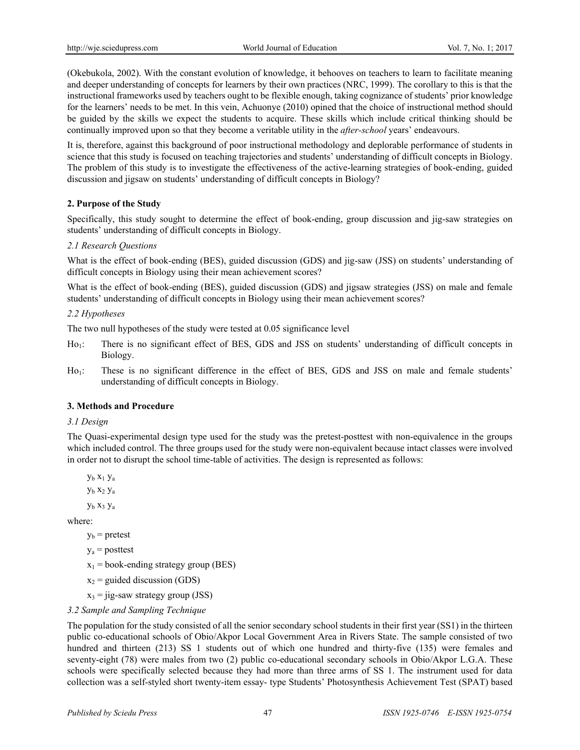(Okebukola, 2002). With the constant evolution of knowledge, it behooves on teachers to learn to facilitate meaning and deeper understanding of concepts for learners by their own practices (NRC, 1999). The corollary to this is that the instructional frameworks used by teachers ought to be flexible enough, taking cognizance of students' prior knowledge for the learners' needs to be met. In this vein, Achuonye (2010) opined that the choice of instructional method should be guided by the skills we expect the students to acquire. These skills which include critical thinking should be continually improved upon so that they become a veritable utility in the *after-school* years' endeavours.

It is, therefore, against this background of poor instructional methodology and deplorable performance of students in science that this study is focused on teaching trajectories and students' understanding of difficult concepts in Biology. The problem of this study is to investigate the effectiveness of the active-learning strategies of book-ending, guided discussion and jigsaw on students' understanding of difficult concepts in Biology?

## **2. Purpose of the Study**

Specifically, this study sought to determine the effect of book-ending, group discussion and jig-saw strategies on students' understanding of difficult concepts in Biology.

## *2.1 Research Questions*

What is the effect of book-ending (BES), guided discussion (GDS) and jig-saw (JSS) on students' understanding of difficult concepts in Biology using their mean achievement scores?

What is the effect of book-ending (BES), guided discussion (GDS) and jigsaw strategies (JSS) on male and female students' understanding of difficult concepts in Biology using their mean achievement scores?

## *2.2 Hypotheses*

The two null hypotheses of the study were tested at 0.05 significance level

- Ho<sub>1</sub>: There is no significant effect of BES, GDS and JSS on students' understanding of difficult concepts in Biology.
- Ho<sub>1</sub>: These is no significant difference in the effect of BES, GDS and JSS on male and female students' understanding of difficult concepts in Biology.

## **3. Methods and Procedure**

## *3.1 Design*

The Quasi-experimental design type used for the study was the pretest-posttest with non-equivalence in the groups which included control. The three groups used for the study were non-equivalent because intact classes were involved in order not to disrupt the school time-table of activities. The design is represented as follows:

yb x1 ya

yb x2 ya

yb x3 ya

where:

 $y_b$  = pretest

 $y_a$  = posttest

- $x_1$  = book-ending strategy group (BES)
- $x_2$  = guided discussion (GDS)
- $x_3$  = jig-saw strategy group (JSS)

# *3.2 Sample and Sampling Technique*

The population for the study consisted of all the senior secondary school students in their first year (SS1) in the thirteen public co-educational schools of Obio/Akpor Local Government Area in Rivers State. The sample consisted of two hundred and thirteen (213) SS 1 students out of which one hundred and thirty-five (135) were females and seventy-eight (78) were males from two (2) public co-educational secondary schools in Obio/Akpor L.G.A. These schools were specifically selected because they had more than three arms of SS 1. The instrument used for data collection was a self-styled short twenty-item essay- type Students' Photosynthesis Achievement Test (SPAT) based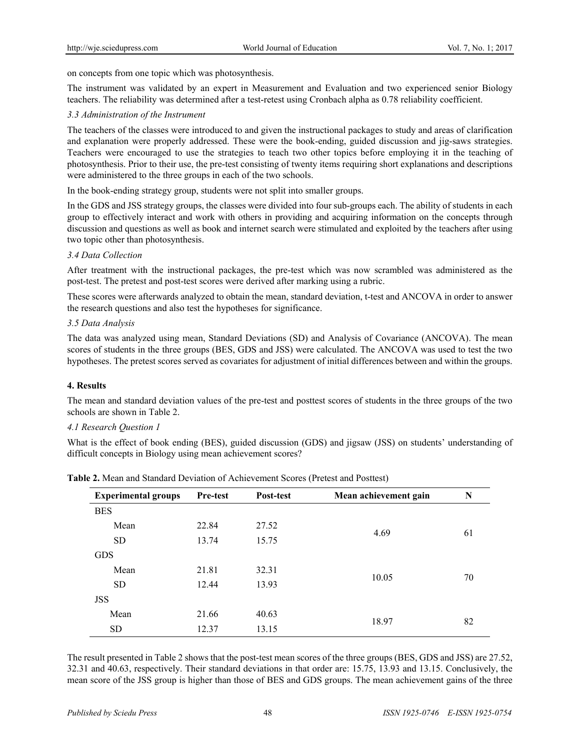on concepts from one topic which was photosynthesis.

The instrument was validated by an expert in Measurement and Evaluation and two experienced senior Biology teachers. The reliability was determined after a test-retest using Cronbach alpha as 0.78 reliability coefficient.

## *3.3 Administration of the Instrument*

The teachers of the classes were introduced to and given the instructional packages to study and areas of clarification and explanation were properly addressed. These were the book-ending, guided discussion and jig-saws strategies. Teachers were encouraged to use the strategies to teach two other topics before employing it in the teaching of photosynthesis. Prior to their use, the pre-test consisting of twenty items requiring short explanations and descriptions were administered to the three groups in each of the two schools.

In the book-ending strategy group, students were not split into smaller groups.

In the GDS and JSS strategy groups, the classes were divided into four sub-groups each. The ability of students in each group to effectively interact and work with others in providing and acquiring information on the concepts through discussion and questions as well as book and internet search were stimulated and exploited by the teachers after using two topic other than photosynthesis.

## *3.4 Data Collection*

After treatment with the instructional packages, the pre-test which was now scrambled was administered as the post-test. The pretest and post-test scores were derived after marking using a rubric.

These scores were afterwards analyzed to obtain the mean, standard deviation, t-test and ANCOVA in order to answer the research questions and also test the hypotheses for significance.

## *3.5 Data Analysis*

The data was analyzed using mean, Standard Deviations (SD) and Analysis of Covariance (ANCOVA). The mean scores of students in the three groups (BES, GDS and JSS) were calculated. The ANCOVA was used to test the two hypotheses. The pretest scores served as covariates for adjustment of initial differences between and within the groups.

## **4. Results**

The mean and standard deviation values of the pre-test and posttest scores of students in the three groups of the two schools are shown in Table 2.

## *4.1 Research Question 1*

What is the effect of book ending (BES), guided discussion (GDS) and jigsaw (JSS) on students' understanding of difficult concepts in Biology using mean achievement scores?

| <b>Experimental groups</b> | <b>Pre-test</b> | Post-test | Mean achievement gain | N  |
|----------------------------|-----------------|-----------|-----------------------|----|
| <b>BES</b>                 |                 |           |                       |    |
| Mean                       | 22.84           | 27.52     |                       |    |
| <b>SD</b>                  | 13.74           | 15.75     | 4.69                  | 61 |
| <b>GDS</b>                 |                 |           |                       |    |
| Mean                       | 21.81           | 32.31     |                       |    |
| <b>SD</b>                  | 12.44           | 13.93     | 10.05                 | 70 |
| <b>JSS</b>                 |                 |           |                       |    |
| Mean                       | 21.66           | 40.63     |                       |    |
| SD <sub>.</sub>            | 12.37           | 13.15     | 18.97                 | 82 |

**Table 2.** Mean and Standard Deviation of Achievement Scores (Pretest and Posttest)

The result presented in Table 2 shows that the post-test mean scores of the three groups (BES, GDS and JSS) are 27.52, 32.31 and 40.63, respectively. Their standard deviations in that order are: 15.75, 13.93 and 13.15. Conclusively, the mean score of the JSS group is higher than those of BES and GDS groups. The mean achievement gains of the three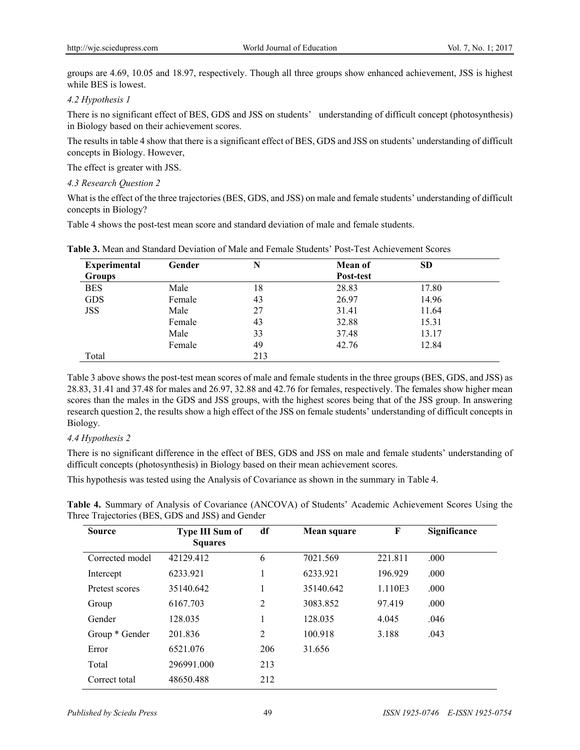groups are 4.69, 10.05 and 18.97, respectively. Though all three groups show enhanced achievement, JSS is highest while BES is lowest.

### *4.2 Hypothesis 1*

There is no significant effect of BES, GDS and JSS on students' understanding of difficult concept (photosynthesis) in Biology based on their achievement scores.

The results in table 4 show that there is a significant effect of BES, GDS and JSS on students' understanding of difficult concepts in Biology. However,

The effect is greater with JSS.

## *4.3 Research Question 2*

What is the effect of the three trajectories (BES, GDS, and JSS) on male and female students' understanding of difficult concepts in Biology?

Table 4 shows the post-test mean score and standard deviation of male and female students.

| <b>Experimental</b> | Gender | N   | <b>Mean of</b> | <b>SD</b> |  |
|---------------------|--------|-----|----------------|-----------|--|
| <b>Groups</b>       |        |     | Post-test      |           |  |
| <b>BES</b>          | Male   | 18  | 28.83          | 17.80     |  |
| <b>GDS</b>          | Female | 43  | 26.97          | 14.96     |  |
| <b>JSS</b>          | Male   | 27  | 31.41          | 11.64     |  |
|                     | Female | 43  | 32.88          | 15.31     |  |
|                     | Male   | 33  | 37.48          | 13.17     |  |
|                     | Female | 49  | 42.76          | 12.84     |  |
| Total               |        | 213 |                |           |  |

**Table 3.** Mean and Standard Deviation of Male and Female Students' Post-Test Achievement Scores

Table 3 above shows the post-test mean scores of male and female students in the three groups (BES, GDS, and JSS) as 28.83, 31.41 and 37.48 for males and 26.97, 32.88 and 42.76 for females, respectively. The females show higher mean scores than the males in the GDS and JSS groups, with the highest scores being that of the JSS group. In answering research question 2, the results show a high effect of the JSS on female students' understanding of difficult concepts in Biology.

## *4.4 Hypothesis 2*

There is no significant difference in the effect of BES, GDS and JSS on male and female students' understanding of difficult concepts (photosynthesis) in Biology based on their mean achievement scores.

This hypothesis was tested using the Analysis of Covariance as shown in the summary in Table 4.

| <b>Source</b>   | <b>Type III Sum of</b><br><b>Squares</b> | df             | Mean square | F       | Significance |
|-----------------|------------------------------------------|----------------|-------------|---------|--------------|
| Corrected model | 42129.412                                | 6              | 7021.569    | 221.811 | .000         |
| Intercept       | 6233.921                                 | 1              | 6233.921    | 196.929 | .000         |
| Pretest scores  | 35140.642                                | 1              | 35140.642   | 1.110E3 | .000         |
| Group           | 6167.703                                 | $\overline{2}$ | 3083.852    | 97.419  | .000         |
| Gender          | 128.035                                  | 1              | 128.035     | 4.045   | .046         |
| Group * Gender  | 201.836                                  | 2              | 100.918     | 3.188   | .043         |
| Error           | 6521.076                                 | 206            | 31.656      |         |              |
| Total           | 296991.000                               | 213            |             |         |              |
| Correct total   | 48650.488                                | 212            |             |         |              |

**Table 4.** Summary of Analysis of Covariance (ANCOVA) of Students' Academic Achievement Scores Using the Three Trajectories (BES, GDS and JSS) and Gender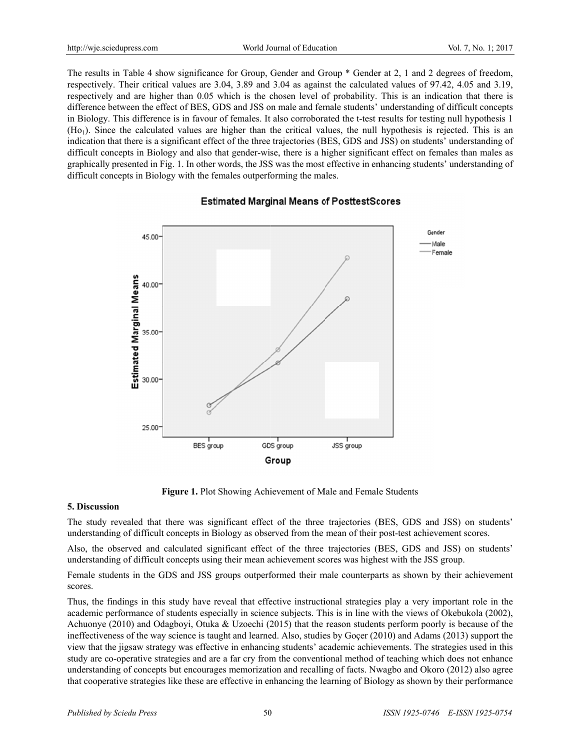The results in Table 4 show significance for Group, Gender and Group  $*$  Gender at 2, 1 and 2 degrees of freedom, respectively. Their critical values are 3.04, 3.89 and 3.04 as against the calculated values of 97.42, 4.05 and 3.19, respectively and are higher than 0.05 which is the chosen level of probability. This is an indication that there is difference between the effect of BES, GDS and JSS on male and female students' understanding of difficult concepts in Biology. This difference is in favour of females. It also corroborated the t-test results for testing null hypothesis 1  $(Ho<sub>1</sub>)$ . Since the calculated values are higher than the critical values, the null hypothesis is rejected. This is an indication that there is a significant effect of the three trajectories (BES, GDS and JSS) on students' understanding of difficult concepts in Biology and also that gender-wise, there is a higher significant effect on females than males as graphically presented in Fig. 1. In other words, the JSS was the most effective in enhancing students' understanding of difficult concepts in Biology with the females outperforming the males.

# **Estimated Marginal Means of PosttestScores**



Figure 1. Plot Showing Achievement of Male and Female Students

## **5. Discussion**

The study revealed that there was significant effect of the three trajectories (BES, GDS and JSS) on students' understanding of difficult concepts in Biology as observed from the mean of their post-test achievement scores.

Also, the observed and calculated significant effect of the three trajectories (BES, GDS and JSS) on students' understanding of difficult concepts using their mean achievement scores was highest with the JSS group.

Female students in the GDS and JSS groups outperformed their male counterparts as shown by their achievement scores.

Thus, the findings in this study have reveal that effective instructional strategies play a very important role in the academic performance of students especially in science subjects. This is in line with the views of Okebukola (2002), Achuonye (2010) and Odagboyi, Otuka & Uzoechi (2015) that the reason students perform poorly is because of the ineffectiveness of the way science is taught and learned. Also, studies by Goçer (2010) and Adams (2013) support the view that the jigsaw strategy was effective in enhancing students' academic achievements. The strategies used in this study are co-operative strategies and are a far cry from the conventional method of teaching which does not enhance understanding of concepts but encourages memorization and recalling of facts. Nwagbo and Okoro (2012) also agree that cooperative strategies like these are effective in enhancing the learning of Biology as shown by their performance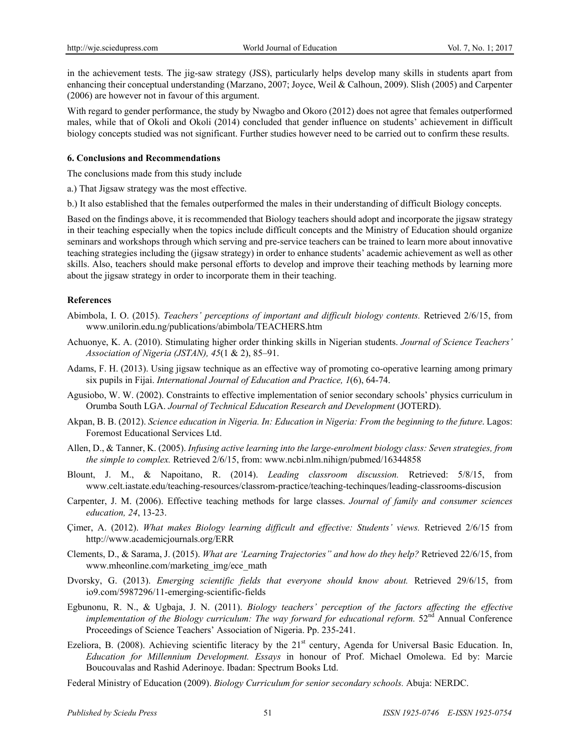in the achievement tests. The jig-saw strategy (JSS), particularly helps develop many skills in students apart from enhancing their conceptual understanding (Marzano, 2007; Joyce, Weil & Calhoun, 2009). Slish (2005) and Carpenter (2006) are however not in favour of this argument.

With regard to gender performance, the study by Nwagbo and Okoro (2012) does not agree that females outperformed males, while that of Okoli and Okoli (2014) concluded that gender influence on students' achievement in difficult biology concepts studied was not significant. Further studies however need to be carried out to confirm these results.

## **6. Conclusions and Recommendations**

The conclusions made from this study include

a.) That Jigsaw strategy was the most effective.

b.) It also established that the females outperformed the males in their understanding of difficult Biology concepts.

Based on the findings above, it is recommended that Biology teachers should adopt and incorporate the jigsaw strategy in their teaching especially when the topics include difficult concepts and the Ministry of Education should organize seminars and workshops through which serving and pre-service teachers can be trained to learn more about innovative teaching strategies including the (jigsaw strategy) in order to enhance students' academic achievement as well as other skills. Also, teachers should make personal efforts to develop and improve their teaching methods by learning more about the jigsaw strategy in order to incorporate them in their teaching.

## **References**

- Abimbola, I. O. (2015). *Teachers' perceptions of important and difficult biology contents.* Retrieved 2/6/15, from www.unilorin.edu.ng/publications/abimbola/TEACHERS.htm
- Achuonye, K. A. (2010). Stimulating higher order thinking skills in Nigerian students. *Journal of Science Teachers' Association of Nigeria (JSTAN), 45*(1 & 2), 85–91.
- Adams, F. H. (2013). Using jigsaw technique as an effective way of promoting co-operative learning among primary six pupils in Fijai. *International Journal of Education and Practice, 1*(6), 64-74.
- Agusiobo, W. W. (2002). Constraints to effective implementation of senior secondary schools' physics curriculum in Orumba South LGA. *Journal of Technical Education Research and Development* (JOTERD).
- Akpan, B. B. (2012). *Science education in Nigeria. In: Education in Nigeria: From the beginning to the future*. Lagos: Foremost Educational Services Ltd.
- Allen, D., & Tanner, K. (2005). *Infusing active learning into the large-enrolment biology class: Seven strategies, from the simple to complex.* Retrieved 2/6/15, from: www.ncbi.nlm.nihign/pubmed/16344858
- Blount, J. M., & Napoitano, R. (2014). *Leading classroom discussion.* Retrieved: 5/8/15, from www.celt.iastate.edu/teaching-resources/classrom-practice/teaching-techinques/leading-classrooms-discusion
- Carpenter, J. M. (2006). Effective teaching methods for large classes. *Journal of family and consumer sciences education, 24*, 13-23.
- Çimer, A. (2012). *What makes Biology learning difficult and effective: Students' views.* Retrieved 2/6/15 from http://www.academicjournals.org/ERR
- Clements, D., & Sarama, J. (2015). *What are 'Learning Trajectories" and how do they help?* Retrieved 22/6/15, from www.mheonline.com/marketing\_img/ece\_math
- Dvorsky, G. (2013). *Emerging scientific fields that everyone should know about.* Retrieved 29/6/15, from io9.com/5987296/11-emerging-scientific-fields
- Egbunonu, R. N., & Ugbaja, J. N. (2011). *Biology teachers' perception of the factors affecting the effective implementation of the Biology curriculum: The way forward for educational reform.*  $52<sup>nd</sup>$  Annual Conference Proceedings of Science Teachers' Association of Nigeria. Pp. 235-241.
- Ezeliora, B. (2008). Achieving scientific literacy by the 21<sup>st</sup> century, Agenda for Universal Basic Education. In, *Education for Millennium Development. Essays* in honour of Prof. Michael Omolewa. Ed by: Marcie Boucouvalas and Rashid Aderinoye. Ibadan: Spectrum Books Ltd.
- Federal Ministry of Education (2009). *Biology Curriculum for senior secondary schools.* Abuja: NERDC.